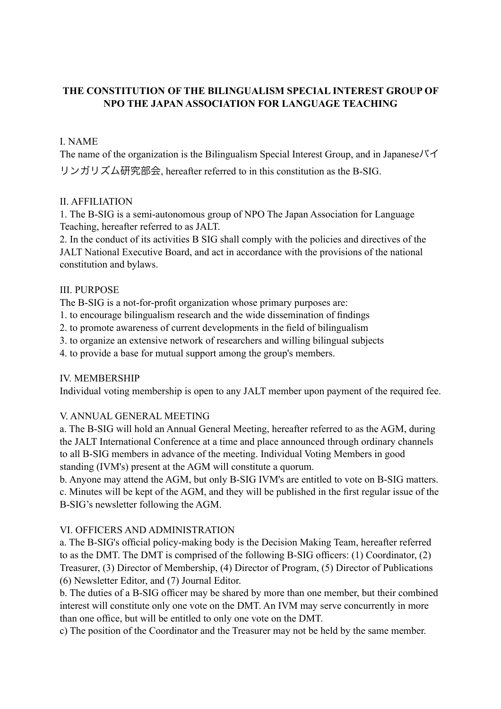# **THE CONSTITUTION OF THE BILINGUALISM SPECIAL INTEREST GROUP OF NPO THE JAPAN ASSOCIATION FOR LANGUAGE TEACHING**

## I. NAME

The name of the organization is the Bilingualism Special Interest Group, and in Japaneseバイ リンガリズム研究部会, hereafter referred to in this constitution as the B-SIG.

## II. AFFILIATION

1. The B-SIG is a semi-autonomous group of NPO The Japan Association for Language Teaching, hereafter referred to as JALT.

2. In the conduct of its activities B SIG shall comply with the policies and directives of the JALT National Executive Board, and act in accordance with the provisions of the national constitution and bylaws.

## III. PURPOSE

The B-SIG is a not-for-profit organization whose primary purposes are:

- 1. to encourage bilingualism research and the wide dissemination of findings
- 2. to promote awareness of current developments in the field of bilingualism
- 3. to organize an extensive network of researchers and willing bilingual subjects
- 4. to provide a base for mutual support among the group's members.

## IV. MEMBERSHIP

Individual voting membership is open to any JALT member upon payment of the required fee.

## V. ANNUAL GENERAL MEETING

a. The B-SIG will hold an Annual General Meeting, hereafter referred to as the AGM, during the JALT International Conference at a time and place announced through ordinary channels to all B-SIG members in advance of the meeting. Individual Voting Members in good standing (IVM's) present at the AGM will constitute a quorum.

b. Anyone may attend the AGM, but only B-SIG IVM's are entitled to vote on B-SIG matters. c. Minutes will be kept of the AGM, and they will be published in the first regular issue of the B-SIG's newsletter following the AGM.

## VI. OFFICERS AND ADMINISTRATION

a. The B-SIG's official policy-making body is the Decision Making Team, hereafter referred to as the DMT. The DMT is comprised of the following B-SIG officers: (1) Coordinator, (2) Treasurer, (3) Director of Membership, (4) Director of Program, (5) Director of Publications (6) Newsletter Editor, and (7) Journal Editor.

b. The duties of a B-SIG officer may be shared by more than one member, but their combined interest will constitute only one vote on the DMT. An IVM may serve concurrently in more than one office, but will be entitled to only one vote on the DMT.

c) The position of the Coordinator and the Treasurer may not be held by the same member.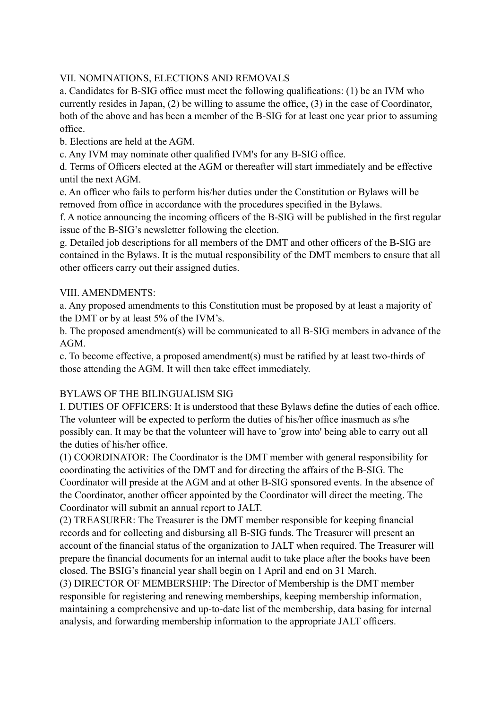### VII. NOMINATIONS, ELECTIONS AND REMOVALS

a. Candidates for B-SIG office must meet the following qualifications: (1) be an IVM who currently resides in Japan, (2) be willing to assume the office, (3) in the case of Coordinator, both of the above and has been a member of the B-SIG for at least one year prior to assuming office.

b. Elections are held at the AGM.

c. Any IVM may nominate other qualified IVM's for any B-SIG office.

d. Terms of Officers elected at the AGM or thereafter will start immediately and be effective until the next AGM.

e. An officer who fails to perform his/her duties under the Constitution or Bylaws will be removed from office in accordance with the procedures specified in the Bylaws.

f. A notice announcing the incoming officers of the B-SIG will be published in the first regular issue of the B-SIG's newsletter following the election.

g. Detailed job descriptions for all members of the DMT and other officers of the B-SIG are contained in the Bylaws. It is the mutual responsibility of the DMT members to ensure that all other officers carry out their assigned duties.

### VIII. AMENDMENTS<sup>-</sup>

a. Any proposed amendments to this Constitution must be proposed by at least a majority of the DMT or by at least 5% of the IVM's.

b. The proposed amendment(s) will be communicated to all B-SIG members in advance of the AGM.

c. To become effective, a proposed amendment(s) must be ratified by at least two-thirds of those attending the AGM. It will then take effect immediately.

## BYLAWS OF THE BILINGUALISM SIG

I. DUTIES OF OFFICERS: It is understood that these Bylaws define the duties of each office. The volunteer will be expected to perform the duties of his/her office inasmuch as s/he possibly can. It may be that the volunteer will have to 'grow into' being able to carry out all the duties of his/her office.

(1) COORDINATOR: The Coordinator is the DMT member with general responsibility for coordinating the activities of the DMT and for directing the affairs of the B-SIG. The Coordinator will preside at the AGM and at other B-SIG sponsored events. In the absence of the Coordinator, another officer appointed by the Coordinator will direct the meeting. The Coordinator will submit an annual report to JALT.

(2) TREASURER: The Treasurer is the DMT member responsible for keeping financial records and for collecting and disbursing all B-SIG funds. The Treasurer will present an account of the financial status of the organization to JALT when required. The Treasurer will prepare the financial documents for an internal audit to take place after the books have been closed. The BSIG's financial year shall begin on 1 April and end on 31 March.

(3) DIRECTOR OF MEMBERSHIP: The Director of Membership is the DMT member responsible for registering and renewing memberships, keeping membership information, maintaining a comprehensive and up-to-date list of the membership, data basing for internal analysis, and forwarding membership information to the appropriate JALT officers.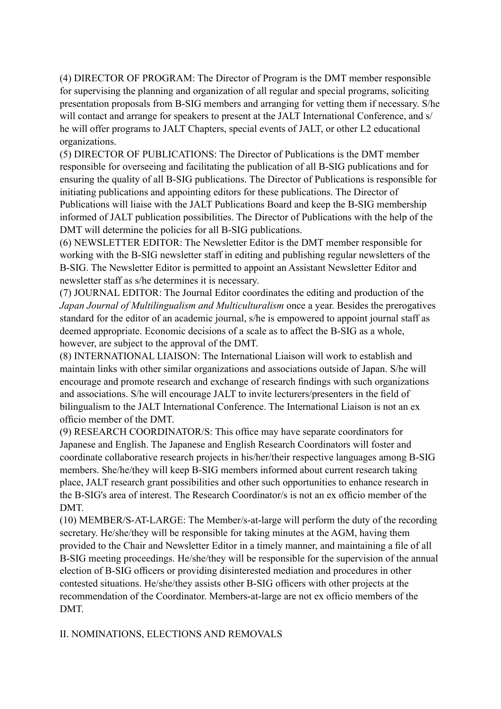(4) DIRECTOR OF PROGRAM: The Director of Program is the DMT member responsible for supervising the planning and organization of all regular and special programs, soliciting presentation proposals from B-SIG members and arranging for vetting them if necessary. S/he will contact and arrange for speakers to present at the JALT International Conference, and s/ he will offer programs to JALT Chapters, special events of JALT, or other L2 educational organizations.

(5) DIRECTOR OF PUBLICATIONS: The Director of Publications is the DMT member responsible for overseeing and facilitating the publication of all B-SIG publications and for ensuring the quality of all B-SIG publications. The Director of Publications is responsible for initiating publications and appointing editors for these publications. The Director of Publications will liaise with the JALT Publications Board and keep the B-SIG membership informed of JALT publication possibilities. The Director of Publications with the help of the DMT will determine the policies for all B-SIG publications.

(6) NEWSLETTER EDITOR: The Newsletter Editor is the DMT member responsible for working with the B-SIG newsletter staff in editing and publishing regular newsletters of the B-SIG. The Newsletter Editor is permitted to appoint an Assistant Newsletter Editor and newsletter staff as s/he determines it is necessary.

(7) JOURNAL EDITOR: The Journal Editor coordinates the editing and production of the *Japan Journal of Multilingualism and Multiculturalism* once a year. Besides the prerogatives standard for the editor of an academic journal, s/he is empowered to appoint journal staff as deemed appropriate. Economic decisions of a scale as to affect the B-SIG as a whole, however, are subject to the approval of the DMT.

(8) INTERNATIONAL LIAISON: The International Liaison will work to establish and maintain links with other similar organizations and associations outside of Japan. S/he will encourage and promote research and exchange of research findings with such organizations and associations. S/he will encourage JALT to invite lecturers/presenters in the field of bilingualism to the JALT International Conference. The International Liaison is not an ex officio member of the DMT.

(9) RESEARCH COORDINATOR/S: This office may have separate coordinators for Japanese and English. The Japanese and English Research Coordinators will foster and coordinate collaborative research projects in his/her/their respective languages among B-SIG members. She/he/they will keep B-SIG members informed about current research taking place, JALT research grant possibilities and other such opportunities to enhance research in the B-SIG's area of interest. The Research Coordinator/s is not an ex officio member of the DMT.

(10) MEMBER/S-AT-LARGE: The Member/s-at-large will perform the duty of the recording secretary. He/she/they will be responsible for taking minutes at the AGM, having them provided to the Chair and Newsletter Editor in a timely manner, and maintaining a file of all B-SIG meeting proceedings. He/she/they will be responsible for the supervision of the annual election of B-SIG officers or providing disinterested mediation and procedures in other contested situations. He/she/they assists other B-SIG officers with other projects at the recommendation of the Coordinator. Members-at-large are not ex officio members of the DMT.

II. NOMINATIONS, ELECTIONS AND REMOVALS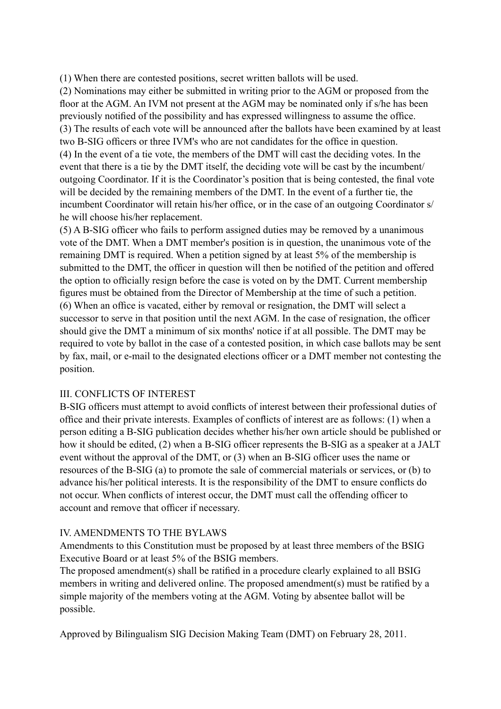(1) When there are contested positions, secret written ballots will be used.

(2) Nominations may either be submitted in writing prior to the AGM or proposed from the floor at the AGM. An IVM not present at the AGM may be nominated only if s/he has been previously notified of the possibility and has expressed willingness to assume the office. (3) The results of each vote will be announced after the ballots have been examined by at least two B-SIG officers or three IVM's who are not candidates for the office in question. (4) In the event of a tie vote, the members of the DMT will cast the deciding votes. In the event that there is a tie by the DMT itself, the deciding vote will be cast by the incumbent/ outgoing Coordinator. If it is the Coordinator's position that is being contested, the final vote will be decided by the remaining members of the DMT. In the event of a further tie, the incumbent Coordinator will retain his/her office, or in the case of an outgoing Coordinator s/ he will choose his/her replacement.

(5) A B-SIG officer who fails to perform assigned duties may be removed by a unanimous vote of the DMT. When a DMT member's position is in question, the unanimous vote of the remaining DMT is required. When a petition signed by at least 5% of the membership is submitted to the DMT, the officer in question will then be notified of the petition and offered the option to officially resign before the case is voted on by the DMT. Current membership figures must be obtained from the Director of Membership at the time of such a petition. (6) When an office is vacated, either by removal or resignation, the DMT will select a successor to serve in that position until the next AGM. In the case of resignation, the officer should give the DMT a minimum of six months' notice if at all possible. The DMT may be required to vote by ballot in the case of a contested position, in which case ballots may be sent by fax, mail, or e-mail to the designated elections officer or a DMT member not contesting the position.

#### III. CONFLICTS OF INTEREST

B-SIG officers must attempt to avoid conflicts of interest between their professional duties of office and their private interests. Examples of conflicts of interest are as follows: (1) when a person editing a B-SIG publication decides whether his/her own article should be published or how it should be edited, (2) when a B-SIG officer represents the B-SIG as a speaker at a JALT event without the approval of the DMT, or (3) when an B-SIG officer uses the name or resources of the B-SIG (a) to promote the sale of commercial materials or services, or (b) to advance his/her political interests. It is the responsibility of the DMT to ensure conflicts do not occur. When conflicts of interest occur, the DMT must call the offending officer to account and remove that officer if necessary.

#### IV. AMENDMENTS TO THE BYLAWS

Amendments to this Constitution must be proposed by at least three members of the BSIG Executive Board or at least 5% of the BSIG members.

The proposed amendment(s) shall be ratified in a procedure clearly explained to all BSIG members in writing and delivered online. The proposed amendment(s) must be ratified by a simple majority of the members voting at the AGM. Voting by absentee ballot will be possible.

Approved by Bilingualism SIG Decision Making Team (DMT) on February 28, 2011.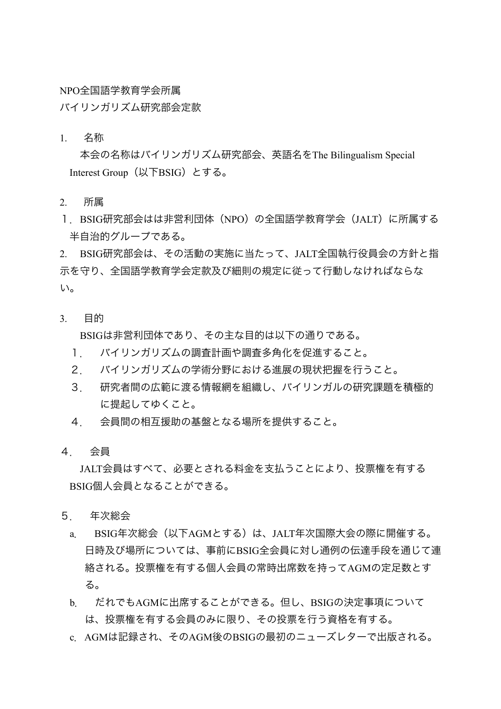NPO全国語学教育学会所属

バイリンガリズム研究部会定款

1. 名称

本会の名称はバイリンガリズム研究部会、英語名をThe Bilingualism Special Interest Group(以下BSIG)とする。

- 2. 所属
- 1.BSIG研究部会はは非営利団体(NPO)の全国語学教育学会(JALT)に所属する 半自治的グループである。

2. BSIG研究部会は、その活動の実施に当たって、JALT全国執行役員会の方針と指 示を守り、全国語学教育学会定款及び細則の規定に従って行動しなければならな い。

3. 目的

BSIGは非営利団体であり、その主な目的は以下の通りである。

- 1. バイリンガリズムの調査計画や調査多角化を促進すること。
- 2. バイリンガリズムの学術分野における進展の現状把握を行うこと。
- 3. 研究者間の広範に渡る情報網を組織し、バイリンガルの研究課題を積極的 に提起してゆくこと。
- 4. 会員間の相互援助の基盤となる場所を提供すること。
- 4. 会員

JALT会員はすべて、必要とされる料金を支払うことにより、投票権を有する BSIG個人会員となることができる。

- 5. 年次総会
	- a. BSIG年次総会(以下AGMとする)は、JALT年次国際大会の際に開催する。 日時及び場所については、事前にBSIG全会員に対し通例の伝達手段を通じて連 絡される。投票権を有する個人会員の常時出席数を持ってAGMの定足数とす る。
	- b. だれでもAGMに出席することができる。但し、BSIGの決定事項について は、投票権を有する会員のみに限り、その投票を行う資格を有する。
	- c.AGMは記録され、そのAGM後のBSIGの最初のニューズレターで出版される。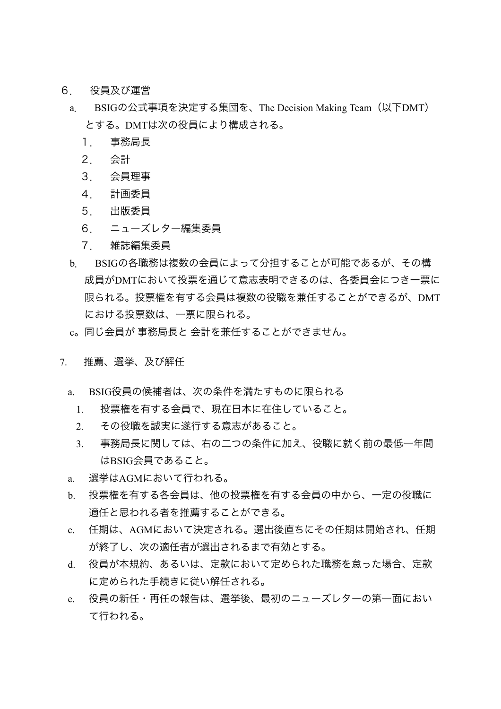- 6. 役員及び運営
	- a. BSIGの公式事項を決定する集団を、The Decision Making Team(以下DMT) とする。DMTは次の役員により構成される。
		- 1. 事務局長
		- 2. 会計
		- 3. 会員理事
		- 4. 計画委員
		- 5. 出版委員
		- 6. ニューズレター編集委員
		- 7. 雑誌編集委員
	- b. BSIGの各職務は複数の会員によって分担することが可能であるが、その構 成員がDMTにおいて投票を通じて意志表明できるのは、各委員会につき一票に 限られる。投票権を有する会員は複数の役職を兼任することができるが、DMT における投票数は、一票に限られる。
	- c。同じ会員が 事務局長と 会計を兼任することができません。
- 7. 推薦、選挙、及び解任
	- a. BSIG役員の候補者は、次の条件を満たすものに限られる
		- 1. 投票権を有する会員で、現在日本に在住していること。
		- 2. その役職を誠実に遂行する意志があること。
		- 3. 事務局長に関しては、右の二つの条件に加え、役職に就く前の最低一年間 はBSIG会員であること。
	- a. 選挙はAGMにおいて行われる。
	- b. 投票権を有する各会員は、他の投票権を有する会員の中から、一定の役職に 適任と思われる者を推薦することができる。
	- c. 任期は、AGMにおいて決定される。選出後直ちにその任期は開始され、任期 が終了し、次の適任者が選出されるまで有効とする。
	- d. 役員が本規約、あるいは、定款において定められた職務を怠った場合、定款 に定められた手続きに従い解任される。
	- e. 役員の新任・再任の報告は、選挙後、最初のニューズレターの第一面におい て行われる。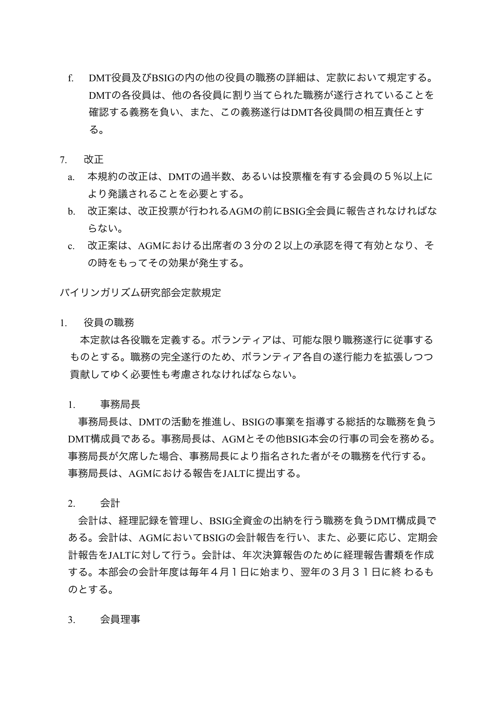- f. DMT役員及びBSIGの内の他の役員の職務の詳細は、定款において規定する。 DMTの各役員は、他の各役員に割り当てられた職務が遂行されていることを 確認する義務を負い、また、この義務遂行はDMT各役員間の相互責任とす る。
- 7. 改正
	- a. 本規約の改正は、DMTの過半数、あるいは投票権を有する会員の5%以上に より発議されることを必要とする。
	- b. 改正案は、改正投票が行われるAGMの前にBSIG全会員に報告されなければな らない。
	- c. 改正案は、AGMにおける出席者の3分の2以上の承認を得て有効となり、そ の時をもってその効果が発生する。

バイリンガリズム研究部会定款規定

1. 役員の職務

本定款は各役職を定義する。ボランティアは、可能な限り職務遂行に従事する ものとする。職務の完全遂行のため、ボランティア各自の遂行能力を拡張しつつ 貢献してゆく必要性も考慮されなければならない。

1. 事務局長

事務局長は、DMTの活動を推進し、BSIGの事業を指導する総括的な職務を負う DMT構成員である。事務局長は、AGMとその他BSIG本会の行事の司会を務める。 事務局長が欠席した場合、事務局長により指名された者がその職務を代行する。 事務局長は、AGMにおける報告をJALTに提出する。

2. 会計

会計は、経理記録を管理し、BSIG全資金の出納を行う職務を負うDMT構成員で ある。会計は、AGMにおいてBSIGの会計報告を行い、また、必要に応じ、定期会 計報告をJALTに対して行う。会計は、年次決算報告のために経理報告書類を作成 する。本部会の会計年度は毎年4月1日に始まり、翌年の3月31日に終 わるも のとする。

3. 会員理事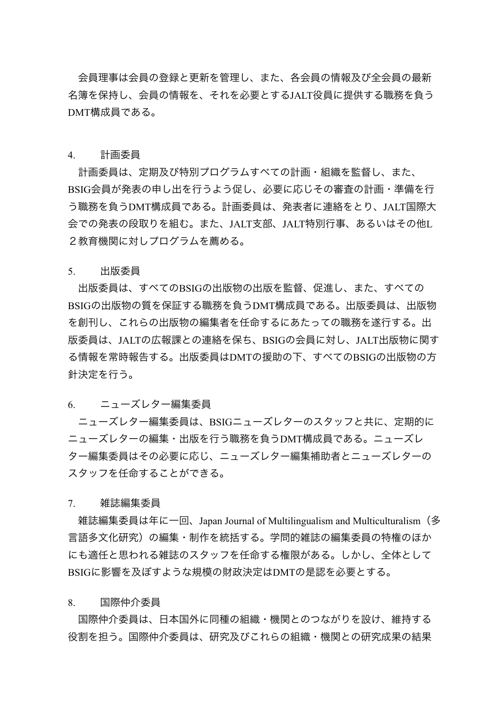会員理事は会員の登録と更新を管理し、また、各会員の情報及び全会員の最新 名簿を保持し、会員の情報を、それを必要とするJALT役員に提供する職務を負う DMT構成員である。

#### 4. 計画委員

計画委員は、定期及び特別プログラムすべての計画・組織を監督し、また、 BSIG会員が発表の申し出を行うよう促し、必要に応じその審査の計画・準備を行 う職務を負うDMT構成員である。計画委員は、発表者に連絡をとり、JALT国際大 会での発表の段取りを組む。また、JALT支部、JALT特別行事、あるいはその他L 2教育機関に対しプログラムを薦める。

#### 5. 出版委員

出版委員は、すべてのBSIGの出版物の出版を監督、促進し、また、すべての BSIGの出版物の質を保証する職務を負うDMT構成員である。出版委員は、出版物 を創刊し、これらの出版物の編集者を任命するにあたっての職務を遂行する。出 版委員は、JALTの広報課との連絡を保ち、BSIGの会員に対し、JALT出版物に関す る情報を常時報告する。出版委員はDMTの援助の下、すべてのBSIGの出版物の方 針決定を行う。

#### 6. ニューズレター編集委員

ニューズレター編集委員は、BSIGニューズレターのスタッフと共に、定期的に ニューズレターの編集・出版を行う職務を負うDMT構成員である。ニューズレ ター編集委員はその必要に応じ、ニューズレター編集補助者とニューズレターの スタッフを任命することができる。

#### 7. 雑誌編集委員

雑誌編集委員は年に一回、Japan Journal of Multilingualism and Multiculturalism(多 言語多文化研究)の編集・制作を統括する。学問的雑誌の編集委員の特権のほか にも適任と思われる雑誌のスタッフを任命する権限がある。しかし、全体として BSIGに影響を及ぼすような規模の財政決定はDMTの是認を必要とする。

#### 8. 国際仲介委員

国際仲介委員は、日本国外に同種の組織・機関とのつながりを設け、維持する 役割を担う。国際仲介委員は、研究及びこれらの組織・機関との研究成果の結果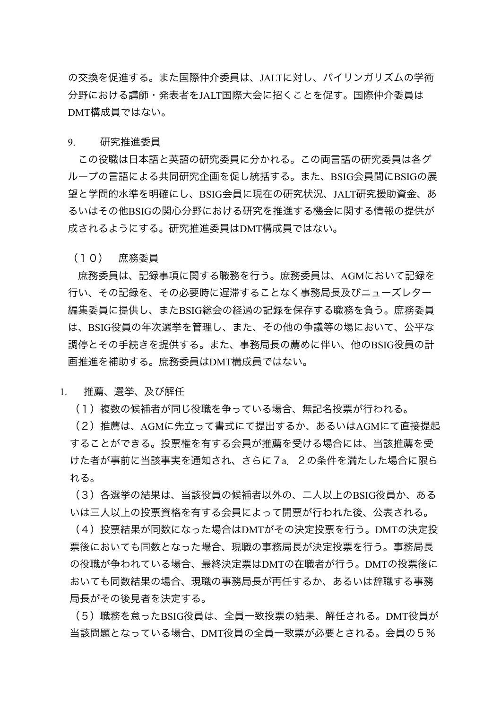の交換を促進する。また国際仲介委員は、JALTに対し、バイリンガリズムの学術 分野における講師・発表者をJALT国際大会に招くことを促す。国際仲介委員は DMT構成員ではない。

9. 研究推進委員

この役職は日本語と英語の研究委員に分かれる。この両言語の研究委員は各グ ループの言語による共同研究企画を促し統括する。また、BSIG会員間にBSIGの展 望と学問的水準を明確にし、BSIG会員に現在の研究状況、JALT研究援助資金、あ るいはその他BSIGの関心分野における研究を推進する機会に関する情報の提供が 成されるようにする。研究推進委員はDMT構成員ではない。

(10) 庶務委員

庶務委員は、記録事項に関する職務を行う。庶務委員は、AGMにおいて記録を 行い、その記録を、その必要時に遅滞することなく事務局長及びニューズレター 編集委員に提供し、またBSIG総会の経過の記録を保存する職務を負う。庶務委員 は、BSIG役員の年次選挙を管理し、また、その他の争議等の場において、公平な 調停とその手続きを提供する。また、事務局長の薦めに伴い、他のBSIG役員の計 画推進を補助する。庶務委員はDMT構成員ではない。

1. 推薦、選挙、及び解任

(1)複数の候補者が同じ役職を争っている場合、無記名投票が行われる。

(2)推薦は、AGMに先立って書式にて提出するか、あるいはAGMにて直接提起 することができる。投票権を有する会員が推薦を受ける場合には、当該推薦を受 けた者が事前に当該事実を通知され、さらに7a.2の条件を満たした場合に限ら れる。

(3)各選挙の結果は、当該役員の候補者以外の、二人以上のBSIG役員か、ある いは三人以上の投票資格を有する会員によって開票が行われた後、公表される。

(4)投票結果が同数になった場合はDMTがその決定投票を行う。DMTの決定投 票後においても同数となった場合、現職の事務局長が決定投票を行う。事務局長 の役職が争われている場合、最終決定票はDMTの在職者が行う。DMTの投票後に おいても同数結果の場合、現職の事務局長が再任するか、あるいは辞職する事務 局長がその後見者を決定する。

(5)職務を怠ったBSIG役員は、全員一致投票の結果、解任される。DMT役員が 当該問題となっている場合、DMT役員の全員一致票が必要とされる。会員の5%